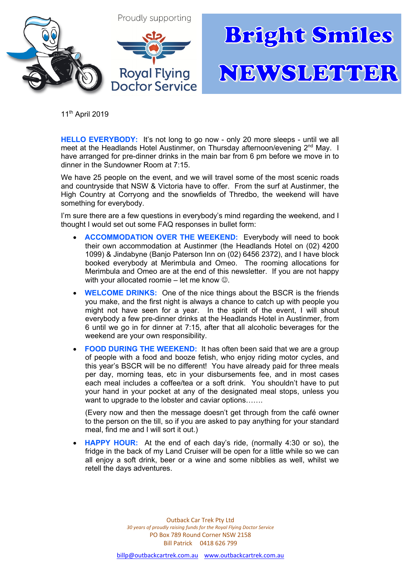

11<sup>th</sup> April 2019

**HELLO EVERYBODY:** It's not long to go now - only 20 more sleeps - until we all meet at the Headlands Hotel Austinmer, on Thursday afternoon/evening 2<sup>nd</sup> May. I have arranged for pre-dinner drinks in the main bar from 6 pm before we move in to dinner in the Sundowner Room at 7:15.

We have 25 people on the event, and we will travel some of the most scenic roads and countryside that NSW & Victoria have to offer. From the surf at Austinmer, the High Country at Corryong and the snowfields of Thredbo, the weekend will have something for everybody.

I'm sure there are a few questions in everybody's mind regarding the weekend, and I thought I would set out some FAQ responses in bullet form:

- **ACCOMMODATION OVER THE WEEKEND:** Everybody will need to book their own accommodation at Austinmer (the Headlands Hotel on (02) 4200 1099) & Jindabyne (Banjo Paterson Inn on (02) 6456 2372), and I have block booked everybody at Merimbula and Omeo. The rooming allocations for Merimbula and Omeo are at the end of this newsletter. If you are not happy with your allocated roomie – let me know  $\odot$ .
- **WELCOME DRINKS:** One of the nice things about the BSCR is the friends you make, and the first night is always a chance to catch up with people you might not have seen for a year. In the spirit of the event, I will shout everybody a few pre-dinner drinks at the Headlands Hotel in Austinmer, from 6 until we go in for dinner at 7:15, after that all alcoholic beverages for the weekend are your own responsibility.
- **FOOD DURING THE WEEKEND:** It has often been said that we are a group of people with a food and booze fetish, who enjoy riding motor cycles, and this year's BSCR will be no different! You have already paid for three meals per day, morning teas, etc in your disbursements fee, and in most cases each meal includes a coffee/tea or a soft drink. You shouldn't have to put your hand in your pocket at any of the designated meal stops, unless you want to upgrade to the lobster and caviar options…….

(Every now and then the message doesn't get through from the café owner to the person on the till, so if you are asked to pay anything for your standard meal, find me and I will sort it out.)

• **HAPPY HOUR:** At the end of each day's ride, (normally 4:30 or so), the fridge in the back of my Land Cruiser will be open for a little while so we can all enjoy a soft drink, beer or a wine and some nibblies as well, whilst we retell the days adventures.

> Outback Car Trek Pty Ltd *30 years of proudly raising funds for the Royal Flying Doctor Service* PO Box 789 Round Corner NSW 2158 Bill Patrick 0418 626 799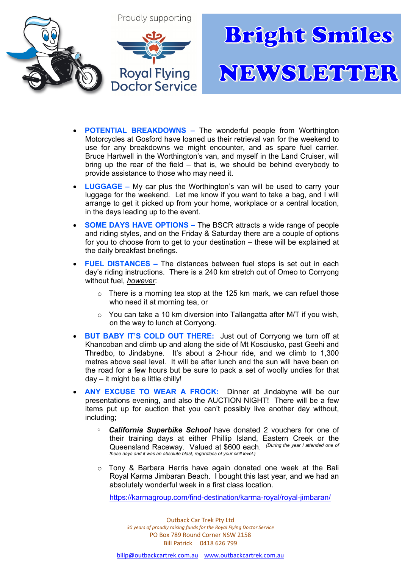

- **POTENTIAL BREAKDOWNS –** The wonderful people from Worthington Motorcycles at Gosford have loaned us their retrieval van for the weekend to use for any breakdowns we might encounter, and as spare fuel carrier. Bruce Hartwell in the Worthington's van, and myself in the Land Cruiser, will bring up the rear of the field – that is, we should be behind everybody to provide assistance to those who may need it.
- **LUGGAGE –** My car plus the Worthington's van will be used to carry your luggage for the weekend. Let me know if you want to take a bag, and I will arrange to get it picked up from your home, workplace or a central location, in the days leading up to the event.
- **SOME DAYS HAVE OPTIONS –** The BSCR attracts a wide range of people and riding styles, and on the Friday & Saturday there are a couple of options for you to choose from to get to your destination – these will be explained at the daily breakfast briefings.
- **FUEL DISTANCES –** The distances between fuel stops is set out in each day's riding instructions. There is a 240 km stretch out of Omeo to Corryong without fuel, *however*:
	- $\circ$  There is a morning tea stop at the 125 km mark, we can refuel those who need it at morning tea, or
	- o You can take a 10 km diversion into Tallangatta after M/T if you wish, on the way to lunch at Corryong.
- **BUT BABY IT'S COLD OUT THERE:** Just out of Corryong we turn off at Khancoban and climb up and along the side of Mt Kosciusko, past Geehi and Thredbo, to Jindabyne. It's about a 2-hour ride, and we climb to 1,300 metres above seal level. It will be after lunch and the sun will have been on the road for a few hours but be sure to pack a set of woolly undies for that  $day - it$  might be a little chilly!
- **ANY EXCUSE TO WEAR A FROCK:** Dinner at Jindabyne will be our presentations evening, and also the AUCTION NIGHT! There will be a few items put up for auction that you can't possibly live another day without, including;
	- <sup>o</sup> **California Superbike School** have donated 2 vouchers for one of their training days at either Phillip Island, Eastern Creek or the Queensland Raceway. Valued at \$600 each. <sup>*(During the year I attended one of*<br>these days and it was an absolute blast, regardless of your skill level.)</sup>
	- o Tony & Barbara Harris have again donated one week at the Bali Royal Karma Jimbaran Beach. I bought this last year, and we had an absolutely wonderful week in a first class location.

https://karmagroup.com/find-destination/karma-royal/royal-jimbaran/

Outback Car Trek Pty Ltd *30 years of proudly raising funds for the Royal Flying Doctor Service* PO Box 789 Round Corner NSW 2158 Bill Patrick 0418 626 799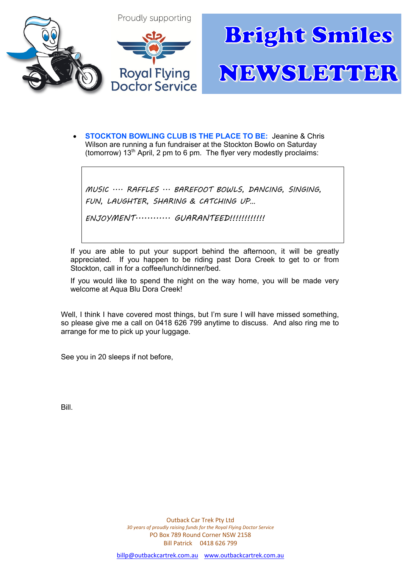

• **STOCKTON BOWLING CLUB IS THE PLACE TO BE:** Jeanine & Chris Wilson are running a fun fundraiser at the Stockton Bowlo on Saturday (tomorrow) 13<sup>th</sup> April, 2 pm to 6 pm. The flyer very modestly proclaims:

MUSIC .... RAFFLES ... BAREFOOT BOWLS, DANCING, SINGING, FUN, LAUGHTER, SHARING & CATCHING UP…

ENJOYMENT............ GUARANTEED!!!!!!!!!!!!!

If you are able to put your support behind the afternoon, it will be greatly appreciated. If you happen to be riding past Dora Creek to get to or from Stockton, call in for a coffee/lunch/dinner/bed.

If you would like to spend the night on the way home, you will be made very welcome at Aqua Blu Dora Creek!

Well, I think I have covered most things, but I'm sure I will have missed something, so please give me a call on 0418 626 799 anytime to discuss. And also ring me to arrange for me to pick up your luggage.

See you in 20 sleeps if not before,

Bill.

Outback Car Trek Pty Ltd *30 years of proudly raising funds for the Royal Flying Doctor Service* PO Box 789 Round Corner NSW 2158 Bill Patrick 0418 626 799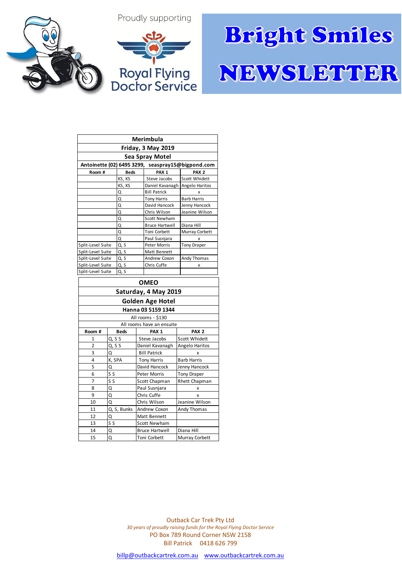## Proudly supporting



## **Bright Smiles** NEWSLETTER

| <b>Merimbula</b>                                  |        |             |                     |                                |                      |
|---------------------------------------------------|--------|-------------|---------------------|--------------------------------|----------------------|
| Friday, 3 May 2019                                |        |             |                     |                                |                      |
| <b>Sea Spray Motel</b>                            |        |             |                     |                                |                      |
| Antoinette (02) 6495 3299, seaspray15@bigpond.com |        |             |                     |                                |                      |
| Room#                                             |        | <b>Beds</b> |                     | PAX <sub>1</sub>               | PAX <sub>2</sub>     |
|                                                   |        | KS, KS      |                     | Steve Jacobs                   | Scott Whidett        |
|                                                   |        | KS, KS      |                     | Daniel Kavanagh Angelo Haritos |                      |
|                                                   |        | Q           |                     | <b>Bill Patrick</b>            | x                    |
|                                                   |        | Q           |                     | <b>Tony Harris</b>             | <b>Barb Harris</b>   |
|                                                   |        | Q           |                     | David Hancock                  | Jenny Hancock        |
|                                                   |        | Q           |                     | Chris Wilson                   | Jeanine Wilson       |
|                                                   |        | Q           |                     | <b>Scott Newham</b>            |                      |
|                                                   |        | Q           |                     | <b>Bruce Hartwell</b>          | Diana Hill           |
|                                                   |        | Q           |                     | Toni Corbett                   | Murray Corbett       |
|                                                   |        | Q           |                     | Paul Susnjara                  | x                    |
| Split-Level Suite                                 |        | Q, S        |                     | <b>Peter Morris</b>            | <b>Tony Draper</b>   |
| Split-Level Suite                                 |        | Q, S        |                     | <b>Matt Bennett</b>            |                      |
| Split-Level Suite                                 |        | Q, S        |                     | Andrew Coxon                   | Andy Thomas          |
| Split-Level Suite                                 |        | Q, S        |                     | Chris Cuffe                    | x                    |
| Split-Level Suite                                 |        | Q, S        |                     |                                |                      |
| <b>OMEO</b>                                       |        |             |                     |                                |                      |
| Saturday, 4 May 2019                              |        |             |                     |                                |                      |
| <b>Golden Age Hotel</b>                           |        |             |                     |                                |                      |
| Hanna 03 5159 1344                                |        |             |                     |                                |                      |
| All rooms - \$130                                 |        |             |                     |                                |                      |
| All rooms have an ensuite                         |        |             |                     |                                |                      |
| Room #                                            |        | <b>Beds</b> |                     | PAX <sub>1</sub>               | PAX <sub>2</sub>     |
| 1                                                 | Q, S S |             |                     | Steve Jacobs                   | Scott Whidett        |
| $\overline{2}$                                    | Q, S S |             | Daniel Kavanagh     |                                | Angelo Haritos       |
| 3                                                 | Q      |             | <b>Bill Patrick</b> |                                | X                    |
| K, SPA<br>4                                       |        |             |                     | <b>Tony Harris</b>             | <b>Barb Harris</b>   |
| 5<br>Q                                            |        |             |                     | David Hancock                  | Jenny Hancock        |
| S S<br>6                                          |        |             |                     | <b>Peter Morris</b>            | <b>Tony Draper</b>   |
| S <sub>S</sub><br>7                               |        |             |                     | Scott Chapman                  | <b>Rhett Chapman</b> |
| Q<br>8                                            |        |             |                     | Paul Susniara                  | x                    |

9 Q Chris Cuffe x<br>10 Q Chris Wilson Jeanine Wi 10 Q Chris Wilson Jeanine Wilson 11 Q, S, Bunks Andrew Coxon Andy Thomas

14 Q Bruce Hartwell Diana Hill 15 Q Toni Corbett Murray Corbett

12 Q Matt Bennett 13 S S S Scott Newham

> Outback Car Trek Pty Ltd *30 years of proudly raising funds for the Royal Flying Doctor Service* PO Box 789 Round Corner NSW 2158 Bill Patrick 0418 626 799